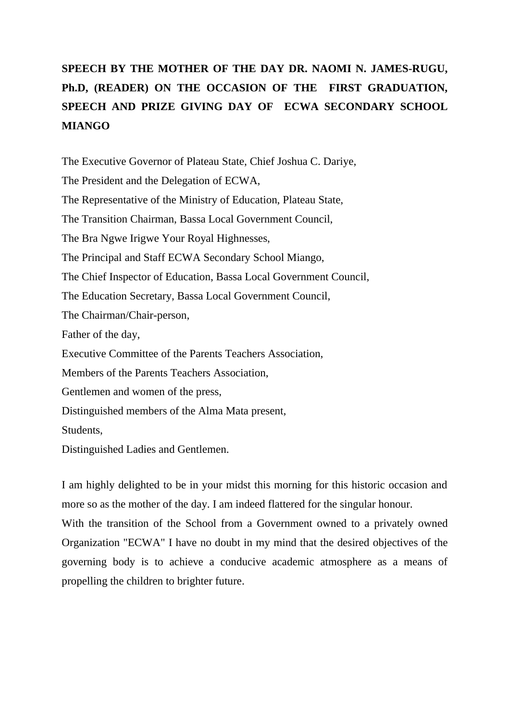## **SPEECH BY THE MOTHER OF THE DAY DR. NAOMI N. JAMES-RUGU, Ph.D, (READER) ON THE OCCASION OF THE FIRST GRADUATION, SPEECH AND PRIZE GIVING DAY OF ECWA SECONDARY SCHOOL MIANGO**

The Executive Governor of Plateau State, Chief Joshua C. Dariye, The President and the Delegation of ECWA, The Representative of the Ministry of Education, Plateau State, The Transition Chairman, Bassa Local Government Council, The Bra Ngwe Irigwe Your Royal Highnesses, The Principal and Staff ECWA Secondary School Miango, The Chief Inspector of Education, Bassa Local Government Council, The Education Secretary, Bassa Local Government Council, The Chairman/Chair-person, Father of the day, Executive Committee of the Parents Teachers Association, Members of the Parents Teachers Association, Gentlemen and women of the press, Distinguished members of the Alma Mata present, Students, Distinguished Ladies and Gentlemen.

I am highly delighted to be in your midst this morning for this historic occasion and more so as the mother of the day. I am indeed flattered for the singular honour. With the transition of the School from a Government owned to a privately owned Organization "ECWA" I have no doubt in my mind that the desired objectives of the governing body is to achieve a conducive academic atmosphere as a means of propelling the children to brighter future.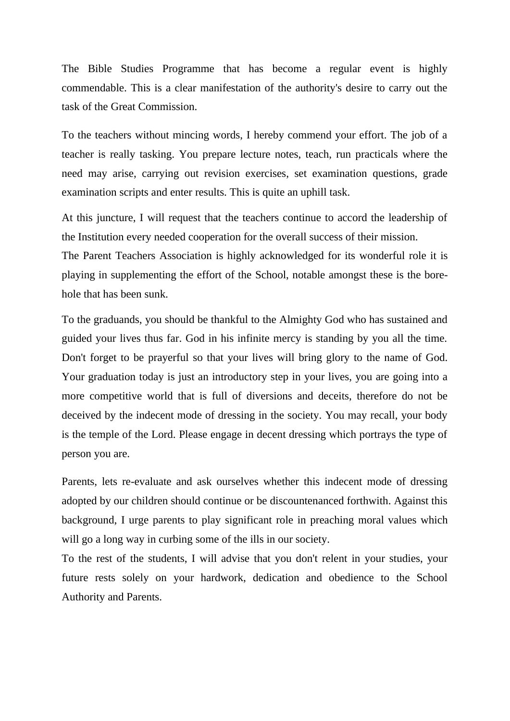The Bible Studies Programme that has become a regular event is highly commendable. This is a clear manifestation of the authority's desire to carry out the task of the Great Commission.

To the teachers without mincing words, I hereby commend your effort. The job of a teacher is really tasking. You prepare lecture notes, teach, run practicals where the need may arise, carrying out revision exercises, set examination questions, grade examination scripts and enter results. This is quite an uphill task.

At this juncture, I will request that the teachers continue to accord the leadership of the Institution every needed cooperation for the overall success of their mission. The Parent Teachers Association is highly acknowledged for its wonderful role it is

playing in supplementing the effort of the School, notable amongst these is the borehole that has been sunk.

To the graduands, you should be thankful to the Almighty God who has sustained and guided your lives thus far. God in his infinite mercy is standing by you all the time. Don't forget to be prayerful so that your lives will bring glory to the name of God. Your graduation today is just an introductory step in your lives, you are going into a more competitive world that is full of diversions and deceits, therefore do not be deceived by the indecent mode of dressing in the society. You may recall, your body is the temple of the Lord. Please engage in decent dressing which portrays the type of person you are.

Parents, lets re-evaluate and ask ourselves whether this indecent mode of dressing adopted by our children should continue or be discountenanced forthwith. Against this background, I urge parents to play significant role in preaching moral values which will go a long way in curbing some of the ills in our society.

To the rest of the students, I will advise that you don't relent in your studies, your future rests solely on your hardwork, dedication and obedience to the School Authority and Parents.